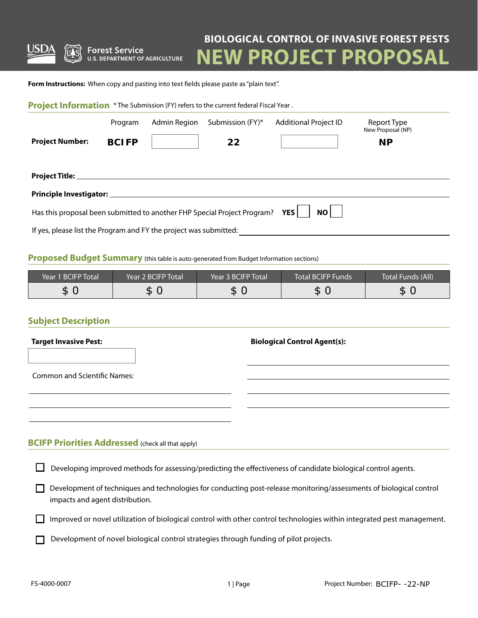

**Forest Service U.S. DEPARTMENT OF AGRICULTURE** 

# **BIOLOGICAL CONTROL OF INVASIVE FOREST PESTS**

**EW PROJECT PROPOSAL** 

**Form Instructions:** When copy and pasting into text fields please paste as "plain text".

| Project Information * The Submission (FY) refers to the current federal Fiscal Year.    |              |              |                  |                              |                                  |  |  |
|-----------------------------------------------------------------------------------------|--------------|--------------|------------------|------------------------------|----------------------------------|--|--|
|                                                                                         | Program      | Admin Region | Submission (FY)* | <b>Additional Project ID</b> | Report Type<br>New Proposal (NP) |  |  |
| <b>Project Number:</b>                                                                  | <b>BCIFP</b> |              | 22               |                              | <b>NP</b>                        |  |  |
|                                                                                         |              |              |                  |                              |                                  |  |  |
| Principle Investigator: ___________                                                     |              |              |                  |                              |                                  |  |  |
| Has this proposal been submitted to another FHP Special Project Program?<br>NO<br>YES l |              |              |                  |                              |                                  |  |  |
| If yes, please list the Program and FY the project was submitted:                       |              |              |                  |                              |                                  |  |  |

#### **Proposed Budget Summary** (this table is auto-generated from Budget Information sections)

| Year 1 BCIFP Total | Year 2 BCIFP Total | Year 3 BCIFP Total | Total BCIFP Funds | Total Funds (All) |
|--------------------|--------------------|--------------------|-------------------|-------------------|
| σ<br>D.            | Ð                  | ╓<br>.DI           | D                 | r.<br>Œ           |

## **Subject Description**

## **BCIFP Priorities Addressed** (check all that apply)

| Developing improved methods for assessing/predicting the effectiveness of candidate biological control agents. |  |  |
|----------------------------------------------------------------------------------------------------------------|--|--|
|                                                                                                                |  |  |

Development of techniques and technologies for conducting post-release monitoring/assessments of biological control impacts and agent distribution.

 $\Box$  Improved or novel utilization of biological control with other control technologies within integrated pest management.

Development of novel biological control strategies through funding of pilot projects.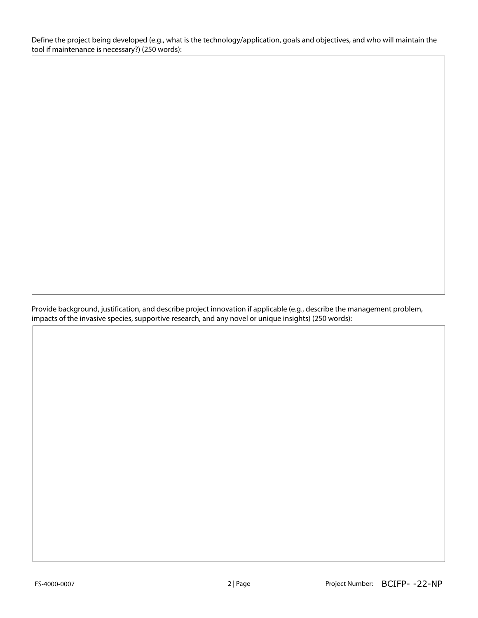Define the project being developed (e.g., what is the technology/application, goals and objectives, and who will maintain the tool if maintenance is necessary?) (250 words):

Provide background, justification, and describe project innovation if applicable (e.g., describe the management problem, impacts of the invasive species, supportive research, and any novel or unique insights) (250 words):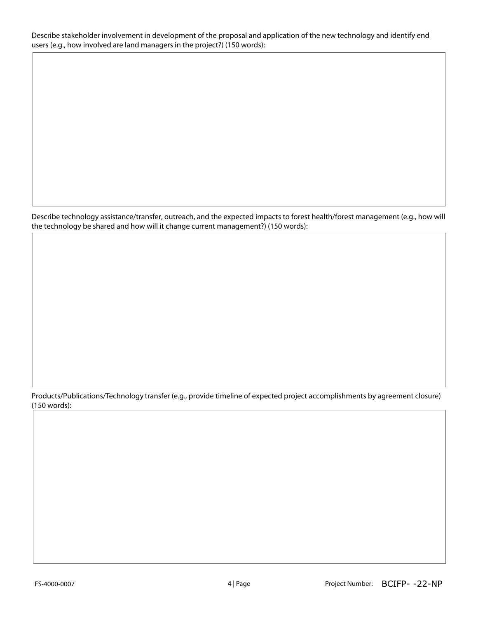Describe stakeholder involvement in development of the proposal and application of the new technology and identify end users (e.g., how involved are land managers in the project?) (150 words):

Describe technology assistance/transfer, outreach, and the expected impacts to forest health/forest management (e.g., how will the technology be shared and how will it change current management?) (150 words):

Products/Publications/Technology transfer (e.g., provide timeline of expected project accomplishments by agreement closure) (150 words):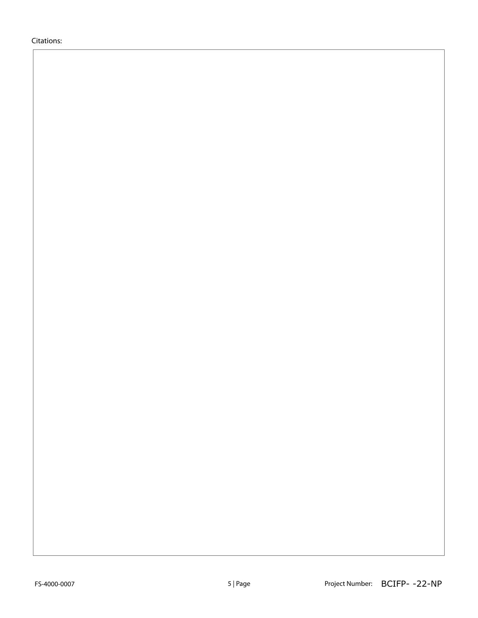Citations: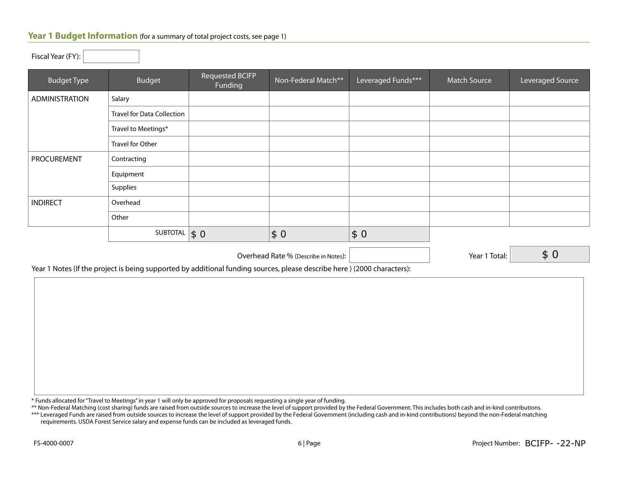#### **Year 1 Budget Information** (for a summary of total project costs, see page 1)

| $\sim$ $\sim$ $\sim$  |                                   |                                   |                     |                    |                     |                  |
|-----------------------|-----------------------------------|-----------------------------------|---------------------|--------------------|---------------------|------------------|
| <b>Budget Type</b>    | <b>Budget</b>                     | <b>Requested BCIFP</b><br>Funding | Non-Federal Match** | Leveraged Funds*** | <b>Match Source</b> | Leveraged Source |
| <b>ADMINISTRATION</b> | Salary                            |                                   |                     |                    |                     |                  |
|                       | <b>Travel for Data Collection</b> |                                   |                     |                    |                     |                  |
|                       | Travel to Meetings*               |                                   |                     |                    |                     |                  |
|                       | Travel for Other                  |                                   |                     |                    |                     |                  |
| <b>PROCUREMENT</b>    | Contracting                       |                                   |                     |                    |                     |                  |
|                       | Equipment                         |                                   |                     |                    |                     |                  |
|                       | Supplies                          |                                   |                     |                    |                     |                  |
| <b>INDIRECT</b>       | Overhead                          |                                   |                     |                    |                     |                  |
|                       | Other                             |                                   |                     |                    |                     |                  |
|                       | SUBTOTAL $\vert \$ 0$             |                                   | \$0                 | \$0                |                     |                  |

Overhead Rate % (Describe in Notes):  $\vert$  (Secretary 2011) 7 | Year 1 Total:

\$ 0

Year 1 Notes (If the project is being supported by additional funding sources, please describe here ) (2000 characters):

\* Funds allocated for "Travel to Meetings" in year 1 will only be approved for proposals requesting a single year of funding.

\*\* Non-Federal Matching (cost sharing) funds are raised from outside sources to increase the level of support provided by the Federal Government. This includes both cash and in-kind contributions.

\*\*\* Leveraged Funds are raised from outside sources to increase the level of support provided by the Federal Government (including cash and in-kind contributions) beyond the non-Federal matching requirements. USDA Forest Service salary and expense funds can be included as leveraged funds.

Fiscal Year (FY):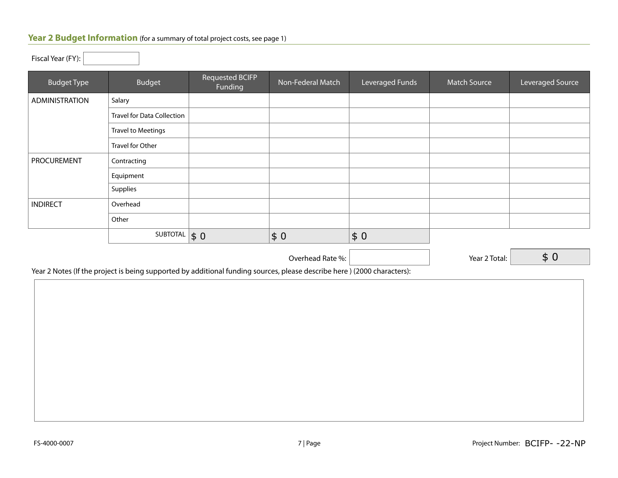## Year 2 Budget Information (for a summary of total project costs, see page 1)

| Fiscal Year (FY): $\vert$ |
|---------------------------|
|---------------------------|

| <b>Budget Type</b>    | Budget                            | Requested BCIFP<br>Funding | Non-Federal Match | Leveraged Funds     | <b>Match Source</b> | Leveraged Source |
|-----------------------|-----------------------------------|----------------------------|-------------------|---------------------|---------------------|------------------|
| <b>ADMINISTRATION</b> | Salary                            |                            |                   |                     |                     |                  |
|                       | <b>Travel for Data Collection</b> |                            |                   |                     |                     |                  |
|                       | <b>Travel to Meetings</b>         |                            |                   |                     |                     |                  |
|                       | Travel for Other                  |                            |                   |                     |                     |                  |
| PROCUREMENT           | Contracting                       |                            |                   |                     |                     |                  |
|                       | Equipment                         |                            |                   |                     |                     |                  |
|                       | Supplies                          |                            |                   |                     |                     |                  |
| <b>INDIRECT</b>       | Overhead                          |                            |                   |                     |                     |                  |
|                       | Other                             |                            |                   |                     |                     |                  |
|                       | SUBTOTAL                          | $\vert \mathsf{s}\vert 0$  | \$0               | $\vert \xi 0 \vert$ |                     |                  |
|                       |                                   |                            | Overhead Rate %:  |                     | Year 2 Total:       | \$0              |

Year 2 Notes (If the project is being supported by additional funding sources, please describe here ) (2000 characters):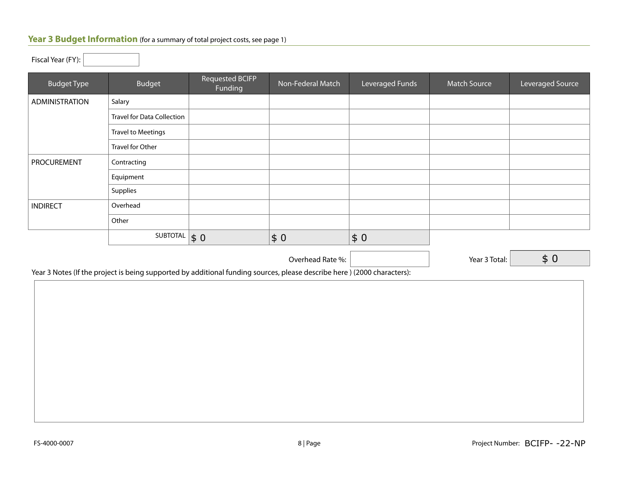# **Year 3 Budget Information** (for a summary of total project costs, see page 1)

| <b>Budget Type</b>    | <b>Budget</b>                     | <b>Requested BCIFP</b><br>Funding | Non-Federal Match | Leveraged Funds | <b>Match Source</b> | Leveraged Source |
|-----------------------|-----------------------------------|-----------------------------------|-------------------|-----------------|---------------------|------------------|
| <b>ADMINISTRATION</b> | Salary                            |                                   |                   |                 |                     |                  |
|                       | <b>Travel for Data Collection</b> |                                   |                   |                 |                     |                  |
|                       | <b>Travel to Meetings</b>         |                                   |                   |                 |                     |                  |
|                       | Travel for Other                  |                                   |                   |                 |                     |                  |
| PROCUREMENT           | Contracting                       |                                   |                   |                 |                     |                  |
|                       | Equipment                         |                                   |                   |                 |                     |                  |
|                       | Supplies                          |                                   |                   |                 |                     |                  |
| <b>INDIRECT</b>       | Overhead                          |                                   |                   |                 |                     |                  |
|                       | Other                             |                                   |                   |                 |                     |                  |
|                       | SUBTOTAL                          | $\vert \xi 0 \vert$               | \$0               | \$0             |                     |                  |
|                       |                                   |                                   | Overhead Rate %:  |                 | Year 3 Total:       | \$0              |

\$ 0

Year 3 Notes (If the project is being supported by additional funding sources, please describe here ) (2000 characters):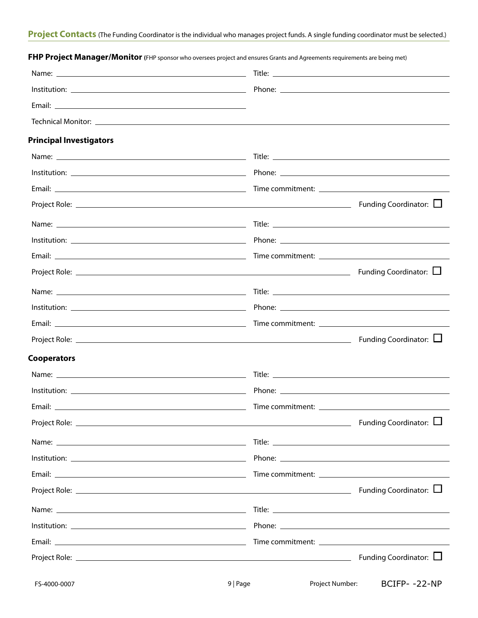| <b>Principal Investigators</b> |                        |
|--------------------------------|------------------------|
|                                |                        |
|                                |                        |
|                                |                        |
|                                |                        |
|                                |                        |
|                                |                        |
|                                |                        |
|                                |                        |
|                                |                        |
|                                |                        |
|                                |                        |
|                                | Funding Coordinator: L |
| <b>Cooperators</b>             |                        |
|                                |                        |
|                                |                        |
|                                |                        |
|                                |                        |
|                                |                        |
|                                |                        |
|                                |                        |
|                                |                        |
|                                |                        |
|                                |                        |
|                                |                        |
|                                |                        |
|                                |                        |